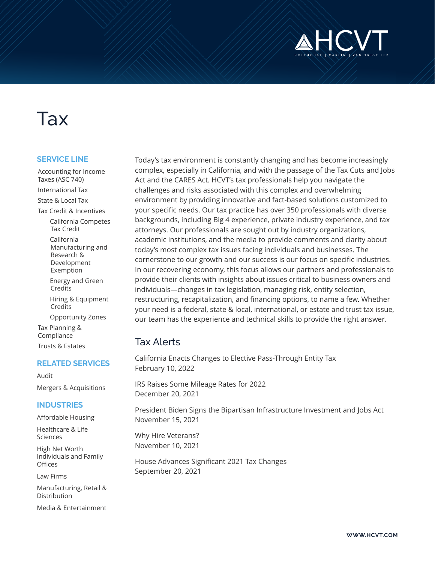

# Tax

#### **SERVICE LINE**

- Accounting for Income Taxes (ASC 740) International Tax State & Local Tax
- Tax Credit & Incentives
	- California Competes Tax Credit
	- California Manufacturing and Research & Development Exemption
	- Energy and Green Credits
	- Hiring & Equipment Credits
- Opportunity Zones Tax Planning & Compliance

Trusts & Estates

#### **RELATED SERVICES**

Audit Mergers & Acquisitions

#### **INDUSTRIES**

Affordable Housing

Healthcare & Life Sciences

High Net Worth Individuals and Family **Offices** 

Law Firms

Manufacturing, Retail & Distribution

Media & Entertainment

Today's tax environment is constantly changing and has become increasingly complex, especially in California, and with the passage of the Tax Cuts and Jobs Act and the CARES Act. HCVT's tax professionals help you navigate the challenges and risks associated with this complex and overwhelming environment by providing innovative and fact-based solutions customized to your specific needs. Our tax practice has over 350 professionals with diverse backgrounds, including Big 4 experience, private industry experience, and tax attorneys. Our professionals are sought out by industry organizations, academic institutions, and the media to provide comments and clarity about today's most complex tax issues facing individuals and businesses. The cornerstone to our growth and our success is our focus on specific industries. In our recovering economy, this focus allows our partners and professionals to provide their clients with insights about issues critical to business owners and individuals—changes in tax legislation, managing risk, entity selection, restructuring, recapitalization, and financing options, to name a few. Whether your need is a federal, state & local, international, or estate and trust tax issue, our team has the experience and technical skills to provide the right answer.

## Tax Alerts

California Enacts Changes to Elective Pass-Through Entity Tax February 10, 2022

IRS Raises Some Mileage Rates for 2022 December 20, 2021

President Biden Signs the Bipartisan Infrastructure Investment and Jobs Act November 15, 2021

Why Hire Veterans? November 10, 2021

House Advances Significant 2021 Tax Changes September 20, 2021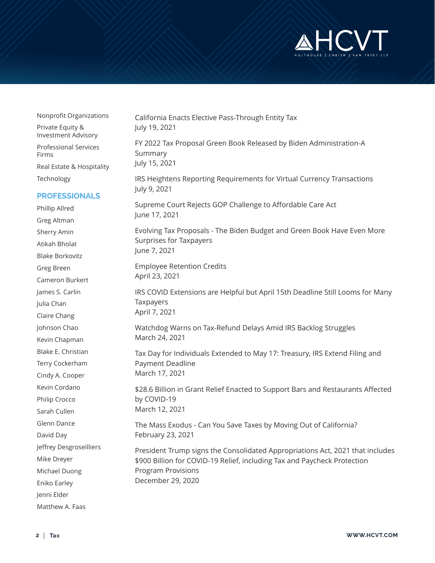

| Nonprofit Organizations                        |
|------------------------------------------------|
| Private Equity &<br><b>Investment Advisory</b> |
| <b>Professional Services</b><br>Firms          |
| Real Estate & Hospitality                      |
| Technology                                     |

#### **PROFESSIONALS**

Phillip Allred Greg Altman Sherry Amin Atikah Bholat Blake Borkovitz Greg Breen Cameron Burkert James S. Carlin Julia Chan Claire Chang Johnson Chao Kevin Chapman Blake E. Christian Terry Cockerham Cindy A. Cooper Kevin Cordano Philip Crocco Sarah Cullen Glenn Dance David Day Jeffrey Desgroseilliers Mike Dreyer Michael Duong Eniko Earley Jenni Elder Matthew A. Faas

California Enacts Elective Pass-Through Entity Tax July 19, 2021 FY 2022 Tax Proposal Green Book Released by Biden Administration-A Summary July 15, 2021 IRS Heightens Reporting Requirements for Virtual Currency Transactions July 9, 2021 Supreme Court Rejects GOP Challenge to Affordable Care Act June 17, 2021 Evolving Tax Proposals - The Biden Budget and Green Book Have Even More Surprises for Taxpayers June 7, 2021 Employee Retention Credits April 23, 2021 IRS COVID Extensions are Helpful but April 15th Deadline Still Looms for Many Taxpayers April 7, 2021 Watchdog Warns on Tax-Refund Delays Amid IRS Backlog Struggles March 24, 2021 Tax Day for Individuals Extended to May 17: Treasury, IRS Extend Filing and Payment Deadline March 17, 2021 \$28.6 Billion in Grant Relief Enacted to Support Bars and Restaurants Affected by COVID-19 March 12, 2021 The Mass Exodus - Can You Save Taxes by Moving Out of California? February 23, 2021 President Trump signs the Consolidated Appropriations Act, 2021 that includes \$900 Billion for COVID-19 Relief, including Tax and Paycheck Protection Program Provisions December 29, 2020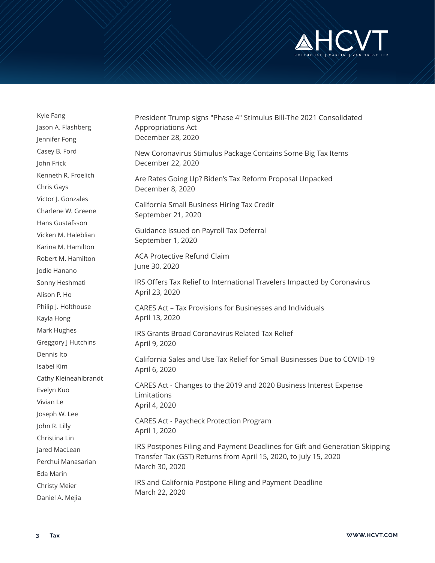

| Kyle Fang             | President Trump signs "Phase 4" Stimulus Bill-The 2021 Consolidated<br>Appropriations Act<br>December 28, 2020                                                                                                                                                     |
|-----------------------|--------------------------------------------------------------------------------------------------------------------------------------------------------------------------------------------------------------------------------------------------------------------|
| Jason A. Flashberg    |                                                                                                                                                                                                                                                                    |
| Jennifer Fong         |                                                                                                                                                                                                                                                                    |
| Casey B. Ford         | New Coronavirus Stimulus Package Contains Some Big Tax Items<br>December 22, 2020                                                                                                                                                                                  |
| John Frick            |                                                                                                                                                                                                                                                                    |
| Kenneth R. Froelich   | Are Rates Going Up? Biden's Tax Reform Proposal Unpacked<br>December 8, 2020                                                                                                                                                                                       |
| Chris Gays            |                                                                                                                                                                                                                                                                    |
| Victor J. Gonzales    | California Small Business Hiring Tax Credit<br>September 21, 2020                                                                                                                                                                                                  |
| Charlene W. Greene    |                                                                                                                                                                                                                                                                    |
| Hans Gustafsson       |                                                                                                                                                                                                                                                                    |
| Vicken M. Haleblian   | Guidance Issued on Payroll Tax Deferral<br>September 1, 2020                                                                                                                                                                                                       |
| Karina M. Hamilton    |                                                                                                                                                                                                                                                                    |
| Robert M. Hamilton    | <b>ACA Protective Refund Claim</b><br>June 30, 2020                                                                                                                                                                                                                |
| Jodie Hanano          |                                                                                                                                                                                                                                                                    |
| Sonny Heshmati        | IRS Offers Tax Relief to International Travelers Impacted by Coronavirus                                                                                                                                                                                           |
| Alison P. Ho          | April 23, 2020                                                                                                                                                                                                                                                     |
| Philip J. Holthouse   | CARES Act - Tax Provisions for Businesses and Individuals                                                                                                                                                                                                          |
| Kayla Hong            | April 13, 2020                                                                                                                                                                                                                                                     |
| Mark Hughes           | IRS Grants Broad Coronavirus Related Tax Relief                                                                                                                                                                                                                    |
| Greggory J Hutchins   | April 9, 2020                                                                                                                                                                                                                                                      |
| Dennis Ito            | California Sales and Use Tax Relief for Small Businesses Due to COVID-19<br>April 6, 2020<br>CARES Act - Changes to the 2019 and 2020 Business Interest Expense<br>Limitations<br>April 4, 2020<br><b>CARES Act - Paycheck Protection Program</b><br>April 1, 2020 |
| Isabel Kim            |                                                                                                                                                                                                                                                                    |
| Cathy Kleineahlbrandt |                                                                                                                                                                                                                                                                    |
| Evelyn Kuo            |                                                                                                                                                                                                                                                                    |
| Vivian Le             |                                                                                                                                                                                                                                                                    |
| Joseph W. Lee         |                                                                                                                                                                                                                                                                    |
| John R. Lilly         |                                                                                                                                                                                                                                                                    |
| Christina Lin         |                                                                                                                                                                                                                                                                    |
| Jared MacLean         | IRS Postpones Filing and Payment Deadlines for Gift and Generation Skipping<br>Transfer Tax (GST) Returns from April 15, 2020, to July 15, 2020<br>March 30, 2020                                                                                                  |
| Perchui Manasarian    |                                                                                                                                                                                                                                                                    |
| Eda Marin             |                                                                                                                                                                                                                                                                    |
| <b>Christy Meier</b>  | IRS and California Postpone Filing and Payment Deadline<br>March 22, 2020                                                                                                                                                                                          |
| Daniel A. Mejia       |                                                                                                                                                                                                                                                                    |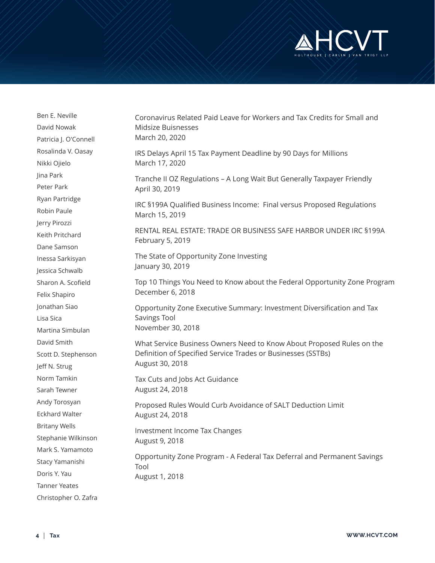

| Ben E. Neville        | Coronavirus Related Paid Leave for Workers and Tax Credits for Small and<br>Midsize Buisnesses<br>March 20, 2020                                         |
|-----------------------|----------------------------------------------------------------------------------------------------------------------------------------------------------|
| David Nowak           |                                                                                                                                                          |
| Patricia J. O'Connell |                                                                                                                                                          |
| Rosalinda V. Oasay    |                                                                                                                                                          |
| Nikki Ojielo          | IRS Delays April 15 Tax Payment Deadline by 90 Days for Millions<br>March 17, 2020                                                                       |
| Jina Park             | Tranche II OZ Regulations - A Long Wait But Generally Taxpayer Friendly<br>April 30, 2019                                                                |
| Peter Park            |                                                                                                                                                          |
| Ryan Partridge        | IRC §199A Qualified Business Income: Final versus Proposed Regulations<br>March 15, 2019                                                                 |
| Robin Paule           |                                                                                                                                                          |
| Jerry Pirozzi         |                                                                                                                                                          |
| Keith Pritchard       | RENTAL REAL ESTATE: TRADE OR BUSINESS SAFE HARBOR UNDER IRC §199A<br>February 5, 2019                                                                    |
| Dane Samson           |                                                                                                                                                          |
| Inessa Sarkisyan      | The State of Opportunity Zone Investing<br>January 30, 2019                                                                                              |
| Jessica Schwalb       |                                                                                                                                                          |
| Sharon A. Scofield    | Top 10 Things You Need to Know about the Federal Opportunity Zone Program<br>December 6, 2018                                                            |
| Felix Shapiro         |                                                                                                                                                          |
| Jonathan Siao         | Opportunity Zone Executive Summary: Investment Diversification and Tax                                                                                   |
| Lisa Sica             | Savings Tool<br>November 30, 2018                                                                                                                        |
| Martina Simbulan      |                                                                                                                                                          |
| David Smith           | What Service Business Owners Need to Know About Proposed Rules on the<br>Definition of Specified Service Trades or Businesses (SSTBs)<br>August 30, 2018 |
| Scott D. Stephenson   |                                                                                                                                                          |
| Jeff N. Strug         |                                                                                                                                                          |
| Norm Tamkin           | Tax Cuts and Jobs Act Guidance<br>August 24, 2018                                                                                                        |
| Sarah Tewner          |                                                                                                                                                          |
| Andy Torosyan         | Proposed Rules Would Curb Avoidance of SALT Deduction Limit<br>August 24, 2018                                                                           |
| <b>Eckhard Walter</b> |                                                                                                                                                          |
| <b>Britany Wells</b>  | Investment Income Tax Changes<br>August 9, 2018<br>Opportunity Zone Program - A Federal Tax Deferral and Permanent Savings<br>Tool<br>August 1, 2018     |
| Stephanie Wilkinson   |                                                                                                                                                          |
| Mark S. Yamamoto      |                                                                                                                                                          |
| Stacy Yamanishi       |                                                                                                                                                          |
| Doris Y. Yau          |                                                                                                                                                          |
| <b>Tanner Yeates</b>  |                                                                                                                                                          |
| Christopher O. Zafra  |                                                                                                                                                          |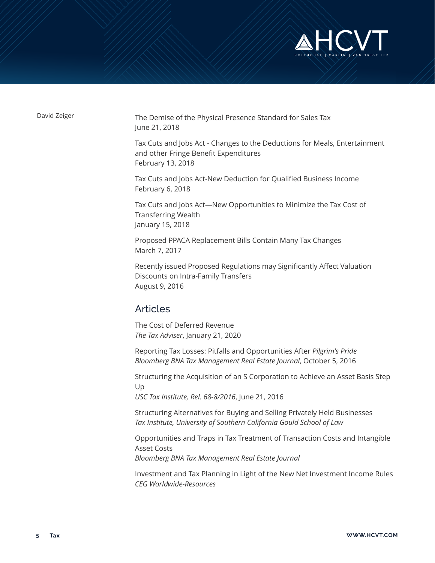

David Zeiger The Demise of the Physical Presence Standard for Sales Tax June 21, 2018

> Tax Cuts and Jobs Act - Changes to the Deductions for Meals, Entertainment and other Fringe Benefit Expenditures February 13, 2018

Tax Cuts and Jobs Act-New Deduction for Qualified Business Income February 6, 2018

Tax Cuts and Jobs Act—New Opportunities to Minimize the Tax Cost of Transferring Wealth January 15, 2018

Proposed PPACA Replacement Bills Contain Many Tax Changes March 7, 2017

Recently issued Proposed Regulations may Significantly Affect Valuation Discounts on Intra-Family Transfers August 9, 2016

## Articles

The Cost of Deferred Revenue *The Tax Adviser*, January 21, 2020

Reporting Tax Losses: Pitfalls and Opportunities After *Pilgrim's Pride Bloomberg BNA Tax Management Real Estate Journal*, October 5, 2016

Structuring the Acquisition of an S Corporation to Achieve an Asset Basis Step Up

*USC Tax Institute, Rel. 68-8/2016*, June 21, 2016

Structuring Alternatives for Buying and Selling Privately Held Businesses *Tax Institute, University of Southern California Gould School of Law*

Opportunities and Traps in Tax Treatment of Transaction Costs and Intangible Asset Costs *Bloomberg BNA Tax Management Real Estate Journal*

Investment and Tax Planning in Light of the New Net Investment Income Rules *CEG Worldwide-Resources*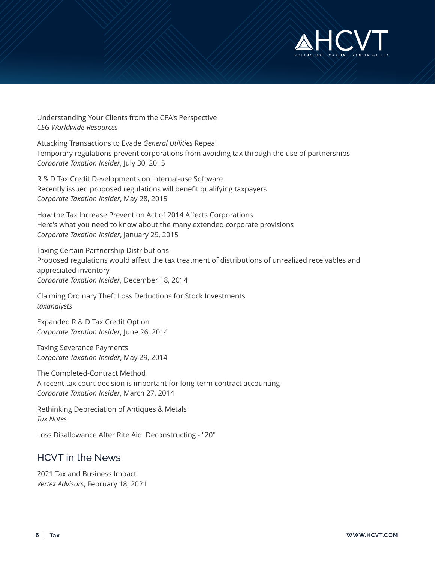

Understanding Your Clients from the CPA's Perspective *CEG Worldwide-Resources*

Attacking Transactions to Evade *General Utilities* Repeal Temporary regulations prevent corporations from avoiding tax through the use of partnerships *Corporate Taxation Insider*, July 30, 2015

R & D Tax Credit Developments on Internal-use Software Recently issued proposed regulations will benefit qualifying taxpayers *Corporate Taxation Insider*, May 28, 2015

How the Tax Increase Prevention Act of 2014 Affects Corporations Here's what you need to know about the many extended corporate provisions *Corporate Taxation Insider*, January 29, 2015

Taxing Certain Partnership Distributions Proposed regulations would affect the tax treatment of distributions of unrealized receivables and appreciated inventory *Corporate Taxation Insider*, December 18, 2014

Claiming Ordinary Theft Loss Deductions for Stock Investments *taxanalysts*

Expanded R & D Tax Credit Option *Corporate Taxation Insider*, June 26, 2014

Taxing Severance Payments *Corporate Taxation Insider*, May 29, 2014

The Completed-Contract Method A recent tax court decision is important for long-term contract accounting *Corporate Taxation Insider*, March 27, 2014

Rethinking Depreciation of Antiques & Metals *Tax Notes*

Loss Disallowance After Rite Aid: Deconstructing - "20"

## HCVT in the News

2021 Tax and Business Impact *Vertex Advisors*, February 18, 2021